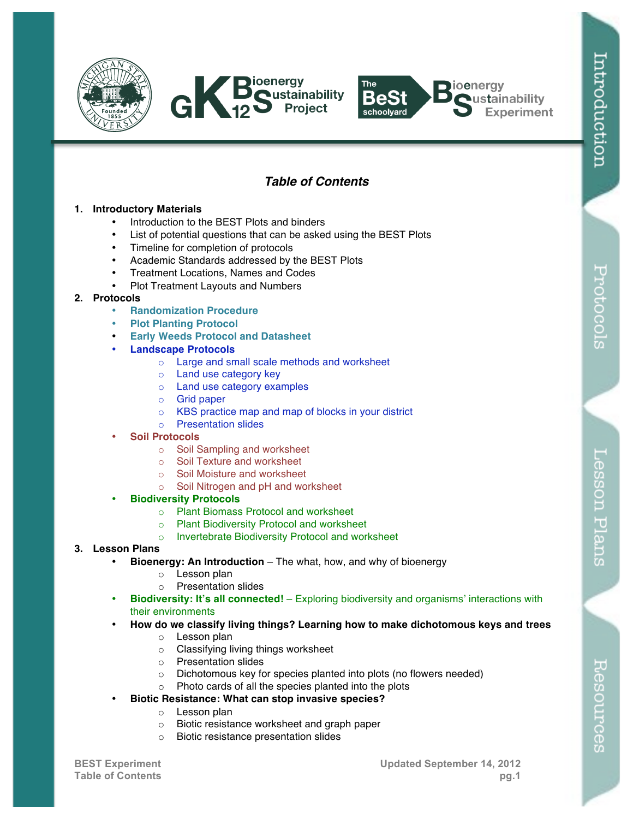





# *Table of Contents*

### **1. Introductory Materials**

- Introduction to the BEST Plots and binders
- List of potential questions that can be asked using the BEST Plots
- Timeline for completion of protocols
- Academic Standards addressed by the BEST Plots
- Treatment Locations, Names and Codes
- Plot Treatment Layouts and Numbers

## **2. Protocols**

- **Randomization Procedure**
- **Plot Planting Protocol**
- **Early Weeds Protocol and Datasheet**

### • **Landscape Protocols**

- o Large and small scale methods and worksheet
- o Land use category key
- o Land use category examples
- o Grid paper
- o KBS practice map and map of blocks in your district
- o Presentation slides

### • **Soil Protocols**

- o Soil Sampling and worksheet
- o Soil Texture and worksheet
- o Soil Moisture and worksheet
- o Soil Nitrogen and pH and worksheet

## • **Biodiversity Protocols**

- o Plant Biomass Protocol and worksheet
- o Plant Biodiversity Protocol and worksheet
- o Invertebrate Biodiversity Protocol and worksheet

## **3. Lesson Plans**

- **Bioenergy: An Introduction**  The what, how, and why of bioenergy
	- o Lesson plan
	- o Presentation slides
- **Biodiversity: It's all connected!**  Exploring biodiversity and organisms' interactions with their environments
- **How do we classify living things? Learning how to make dichotomous keys and trees**
	- o Lesson plan
	- o Classifying living things worksheet
	- o Presentation slides
	- o Dichotomous key for species planted into plots (no flowers needed)
	- o Photo cards of all the species planted into the plots
- **Biotic Resistance: What can stop invasive species?**
	- o Lesson plan
	- o Biotic resistance worksheet and graph paper
	- o Biotic resistance presentation slides

Resources